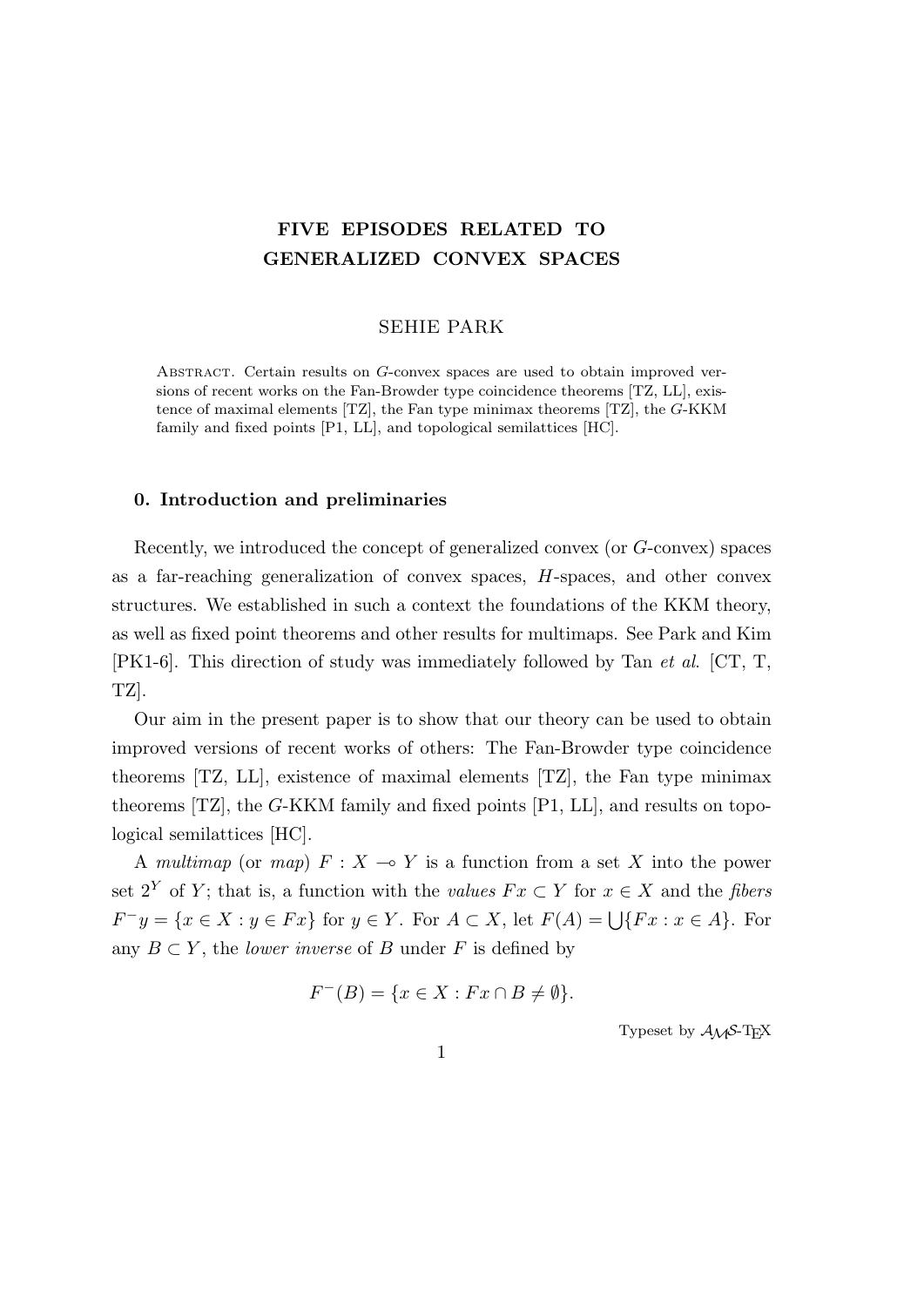# **FIVE EPISODES RELATED TO GENERALIZED CONVEX SPACES**

#### SEHIE PARK

Abstract. Certain results on *G*-convex spaces are used to obtain improved versions of recent works on the Fan-Browder type coincidence theorems [TZ, LL], existence of maximal elements [TZ], the Fan type minimax theorems [TZ], the *G*-KKM family and fixed points [P1, LL], and topological semilattices [HC].

## **0. Introduction and preliminaries**

Recently, we introduced the concept of generalized convex (or *G*-convex) spaces as a far-reaching generalization of convex spaces, *H*-spaces, and other convex structures. We established in such a context the foundations of the KKM theory, as well as fixed point theorems and other results for multimaps. See Park and Kim [PK1-6]. This direction of study was immediately followed by Tan *et al*. [CT, T, TZ].

Our aim in the present paper is to show that our theory can be used to obtain improved versions of recent works of others: The Fan-Browder type coincidence theorems [TZ, LL], existence of maximal elements [TZ], the Fan type minimax theorems [TZ], the *G*-KKM family and fixed points [P1, LL], and results on topological semilattices [HC].

A *multimap* (or *map*)  $F: X \to Y$  is a function from a set X into the power set  $2^Y$  of *Y*; that is, a function with the *values*  $Fx \subset Y$  for  $x \in X$  and the *fibers*  $F^-y = \{x \in X : y \in Fx\}$  for  $y \in Y$ . For  $A \subset X$ , let  $F(A) = \bigcup \{Fx : x \in A\}$ . For any  $B \subset Y$ , the *lower inverse* of *B* under *F* is defined by

$$
F^{-}(B) = \{ x \in X : Fx \cap B \neq \emptyset \}.
$$

Typeset by  $\mathcal{A}_{\mathcal{M}}\mathcal{S}\text{-}\mathrm{Tr}X$ 

1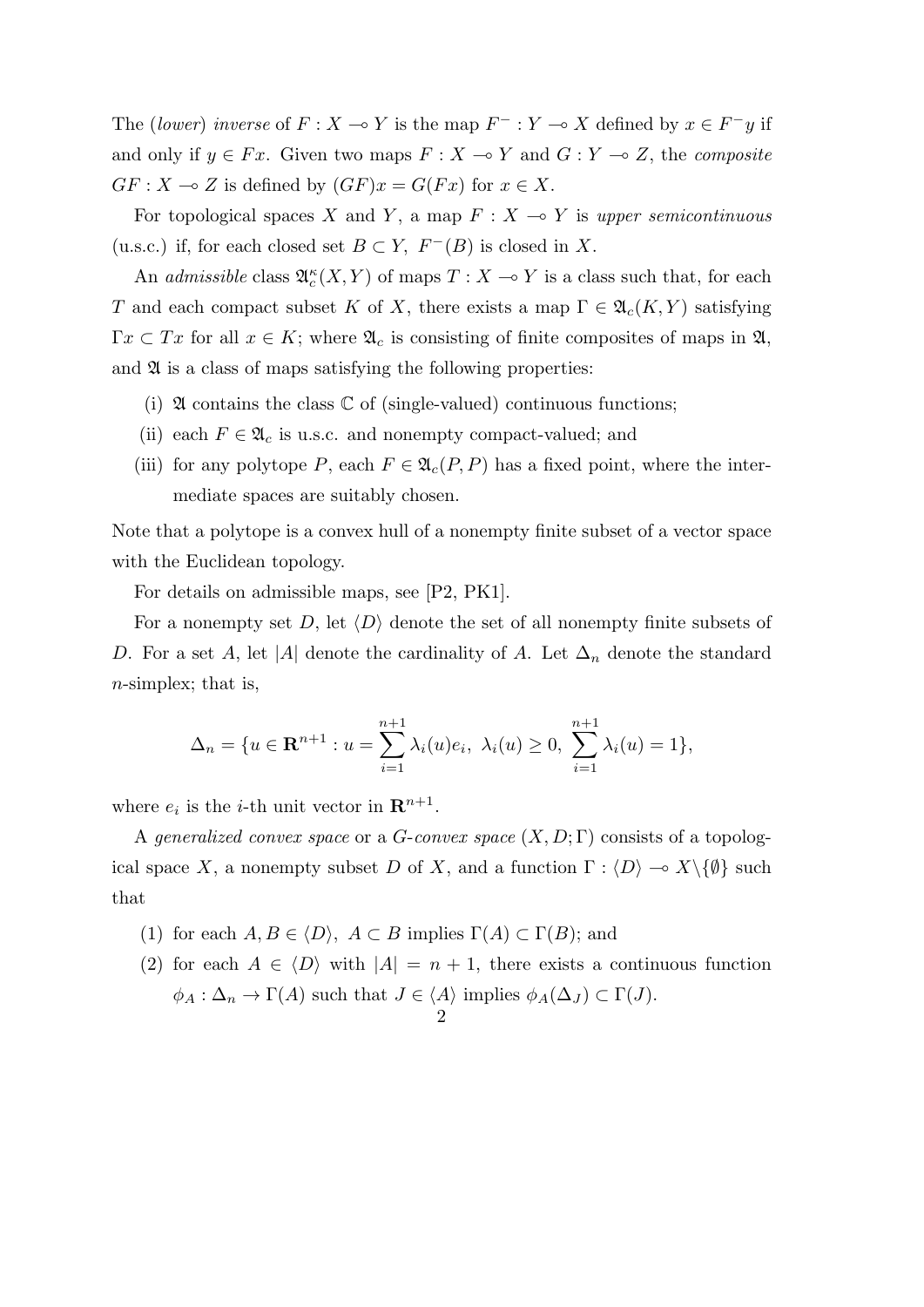The (*lower*) *inverse* of  $F: X \to Y$  is the map  $F^-: Y \to X$  defined by  $x \in F^- y$  if and only if  $y \in Fx$ . Given two maps  $F: X \to Y$  and  $G: Y \to Z$ , the *composite*  $GF: X \to Z$  is defined by  $(GF)x = G(Fx)$  for  $x \in X$ .

For topological spaces *X* and *Y*, a map  $F: X \to Y$  is *upper semicontinuous* (u.s.c.) if, for each closed set  $B \subset Y$ ,  $F^{-}(B)$  is closed in X.

An *admissible* class  $\mathfrak{A}_{c}^{\kappa}(X, Y)$  of maps  $T : X \to Y$  is a class such that, for each *T* and each compact subset *K* of *X*, there exists a map  $\Gamma \in \mathfrak{A}_c(K, Y)$  satisfying  $\Gamma x \subset Tx$  for all  $x \in K$ ; where  $\mathfrak{A}_c$  is consisting of finite composites of maps in  $\mathfrak{A},$ and  $\mathfrak A$  is a class of maps satisfying the following properties:

- (i)  $\mathfrak A$  contains the class  $\mathbb C$  of (single-valued) continuous functions;
- (ii) each  $F \in \mathfrak{A}_c$  is u.s.c. and nonempty compact-valued; and
- (iii) for any polytope *P*, each  $F \in \mathfrak{A}_c(P, P)$  has a fixed point, where the intermediate spaces are suitably chosen.

Note that a polytope is a convex hull of a nonempty finite subset of a vector space with the Euclidean topology.

For details on admissible maps, see [P2, PK1].

For a nonempty set *D*, let  $\langle D \rangle$  denote the set of all nonempty finite subsets of *D*. For a set *A*, let |*A*| denote the cardinality of *A*. Let  $\Delta_n$  denote the standard *n*-simplex; that is,

$$
\Delta_n = \{ u \in \mathbf{R}^{n+1} : u = \sum_{i=1}^{n+1} \lambda_i(u) e_i, \ \lambda_i(u) \ge 0, \ \sum_{i=1}^{n+1} \lambda_i(u) = 1 \},
$$

where  $e_i$  is the *i*-th unit vector in  $\mathbf{R}^{n+1}$ .

A *generalized convex space* or a *G*-*convex space* (*X, D*; Γ) consists of a topological space *X*, a nonempty subset *D* of *X*, and a function  $\Gamma : \langle D \rangle \to X \setminus \{\emptyset\}$  such that

- (1) for each  $A, B \in \langle D \rangle$ ,  $A \subset B$  implies  $\Gamma(A) \subset \Gamma(B)$ ; and
- (2) for each  $A \in \langle D \rangle$  with  $|A| = n + 1$ , there exists a continuous function  $\phi_A : \Delta_n \to \Gamma(A)$  such that  $J \in \langle A \rangle$  implies  $\phi_A(\Delta_J) \subset \Gamma(J)$ . 2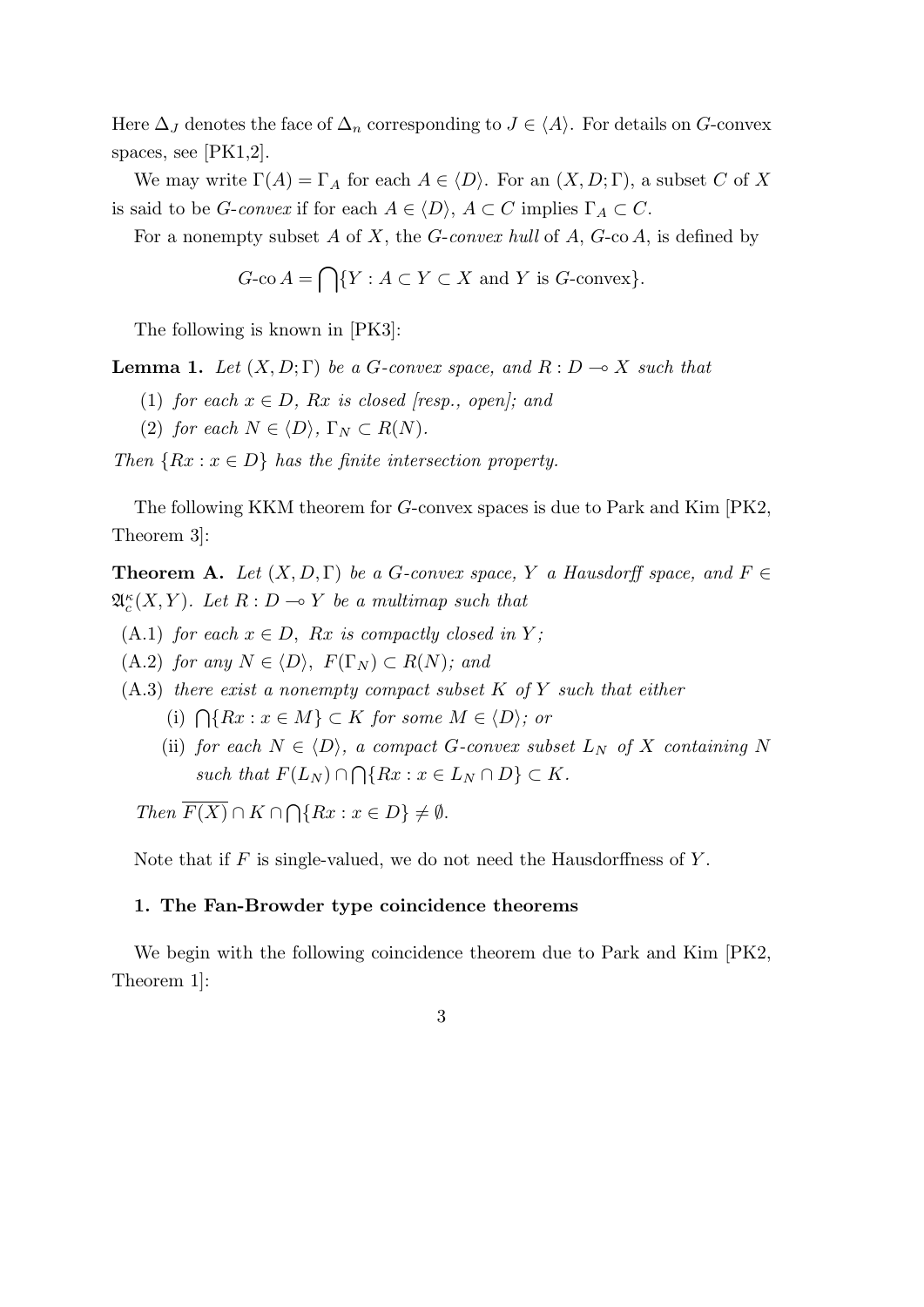Here  $\Delta_J$  denotes the face of  $\Delta_n$  corresponding to  $J \in \langle A \rangle$ . For details on *G*-convex spaces, see [PK1,2].

We may write  $\Gamma(A) = \Gamma_A$  for each  $A \in \langle D \rangle$ . For an  $(X, D; \Gamma)$ , a subset *C* of *X* is said to be *G*-*convex* if for each  $A \in \langle D \rangle$ ,  $A \subset C$  implies  $\Gamma_A \subset C$ .

For a nonempty subset *A* of *X*, the *G*-*convex hull* of *A*, *G*-co *A*, is defined by

$$
G\text{-co }A = \bigcap \{ Y : A \subset Y \subset X \text{ and } Y \text{ is } G\text{-convex} \}.
$$

The following is known in [PK3]:

**Lemma 1.** *Let*  $(X, D; \Gamma)$  *be a G-convex space, and*  $R: D \rightarrow X$  *such that* 

- (1) *for each*  $x \in D$ *, Rx is closed [resp., open]; and*
- (2) *for each*  $N \in \langle D \rangle$ ,  $\Gamma_N \subset R(N)$ .

*Then*  ${Rx : x \in D}$  *has the finite intersection property.* 

The following KKM theorem for *G*-convex spaces is due to Park and Kim [PK2, Theorem 3]:

**Theorem A.** *Let*  $(X, D, \Gamma)$  *be a G-convex space,*  $Y$  *a Hausdorff space, and*  $F \in$  $\mathfrak{A}_{c}^{\kappa}(X, Y)$ *. Let*  $R: D \to Y$  *be a multimap such that* 

(A.1) *for each*  $x \in D$ ,  $Rx$  *is compactly closed in*  $Y$ ;

 $(A.2)$  *for any*  $N \in \langle D \rangle$ ,  $F(\Gamma_N) \subset R(N)$ *; and* 

- (A.3) *there exist a nonempty compact subset K of Y such that either*
	- (i)  $\bigcap \{Rx : x \in M\}$  ⊂ *K for some*  $M \in \langle D \rangle$ *; or*
	- (ii) *for each*  $N \in \langle D \rangle$ *, a compact G-convex subset*  $L_N$  *of X containing N*  $such that F(L_N) ∩ \bigcap \{Rx : x \in L_N ∩ D\} \subset K$ .

 $Then \ \overline{F(X)} \cap K \cap \bigcap \{Rx : x \in D\} \neq \emptyset.$ 

Note that if *F* is single-valued, we do not need the Hausdorffness of *Y* .

# **1. The Fan-Browder type coincidence theorems**

We begin with the following coincidence theorem due to Park and Kim  $|PK2$ , Theorem 1]: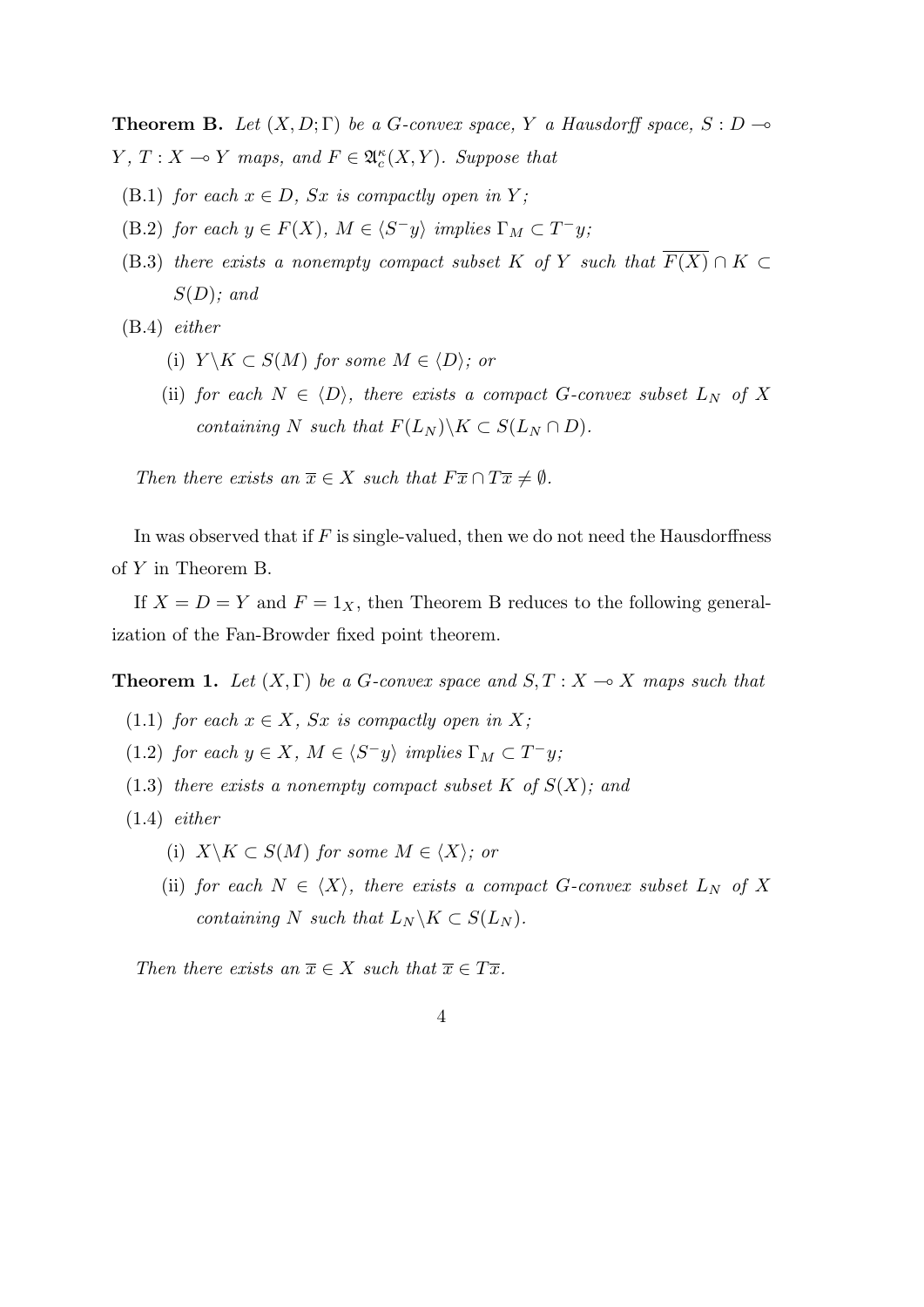**Theorem B.** Let  $(X, D; \Gamma)$  be a *G*-convex space, *Y* a Hausdorff space,  $S: D \rightarrow$ *Y*,  $T: X \to Y$  *maps, and*  $F \in \mathfrak{A}_{c}^{\kappa}(X, Y)$ *. Suppose that* 

- (B.1) *for each*  $x \in D$ *, Sx is compactly open in Y;*
- (B.2) *for each*  $y \in F(X)$ *,*  $M \in \langle S^-y \rangle$  *implies*  $\Gamma_M \subset T^-y$ *;*
- (B.3) *there exists a nonempty compact subset*  $K$  *of*  $Y$  *such that*  $F(X) \cap K \subset$ *S*(*D*)*; and*

(B.4) *either*

- (i)  $Y \backslash K \subset S(M)$  for some  $M \in \langle D \rangle$ ; or
- (ii) *for each*  $N \in \langle D \rangle$ *, there exists a compact G*-*convex subset*  $L_N$  *of X containing*  $N$  *such that*  $F(L_N) \backslash K \subset S(L_N \cap D)$ .

*Then there exists an*  $\overline{x} \in X$  *such that*  $F\overline{x} \cap T\overline{x} \neq \emptyset$ *.* 

In was observed that if *F* is single-valued, then we do not need the Hausdorffness of *Y* in Theorem B.

If  $X = D = Y$  and  $F = 1_X$ , then Theorem B reduces to the following generalization of the Fan-Browder fixed point theorem.

**Theorem 1.** Let  $(X, \Gamma)$  be a *G*-convex space and  $S, T : X \rightarrow X$  maps such that

- (1.1) *for each*  $x \in X$ *, Sx is compactly open in*  $X$ *;*
- (1.2) *for each*  $y \in X$ *,*  $M \in \langle S^-y \rangle$  *implies*  $\Gamma_M \subset T^-y$ *;*
- $(1.3)$  *there exists a nonempty compact subset K of*  $S(X)$ *; and*
- (1.4) *either*
	- (i)  $X \backslash K \subset S(M)$  *for some*  $M \in \langle X \rangle$ *; or*
	- (ii) *for each*  $N \in \langle X \rangle$ *, there exists a compact G*-convex subset  $L_N$  *of* X *containing*  $N$  *such that*  $L_N \backslash K \subset S(L_N)$ *.*

*Then there exists an*  $\overline{x} \in X$  *such that*  $\overline{x} \in T\overline{x}$ *.*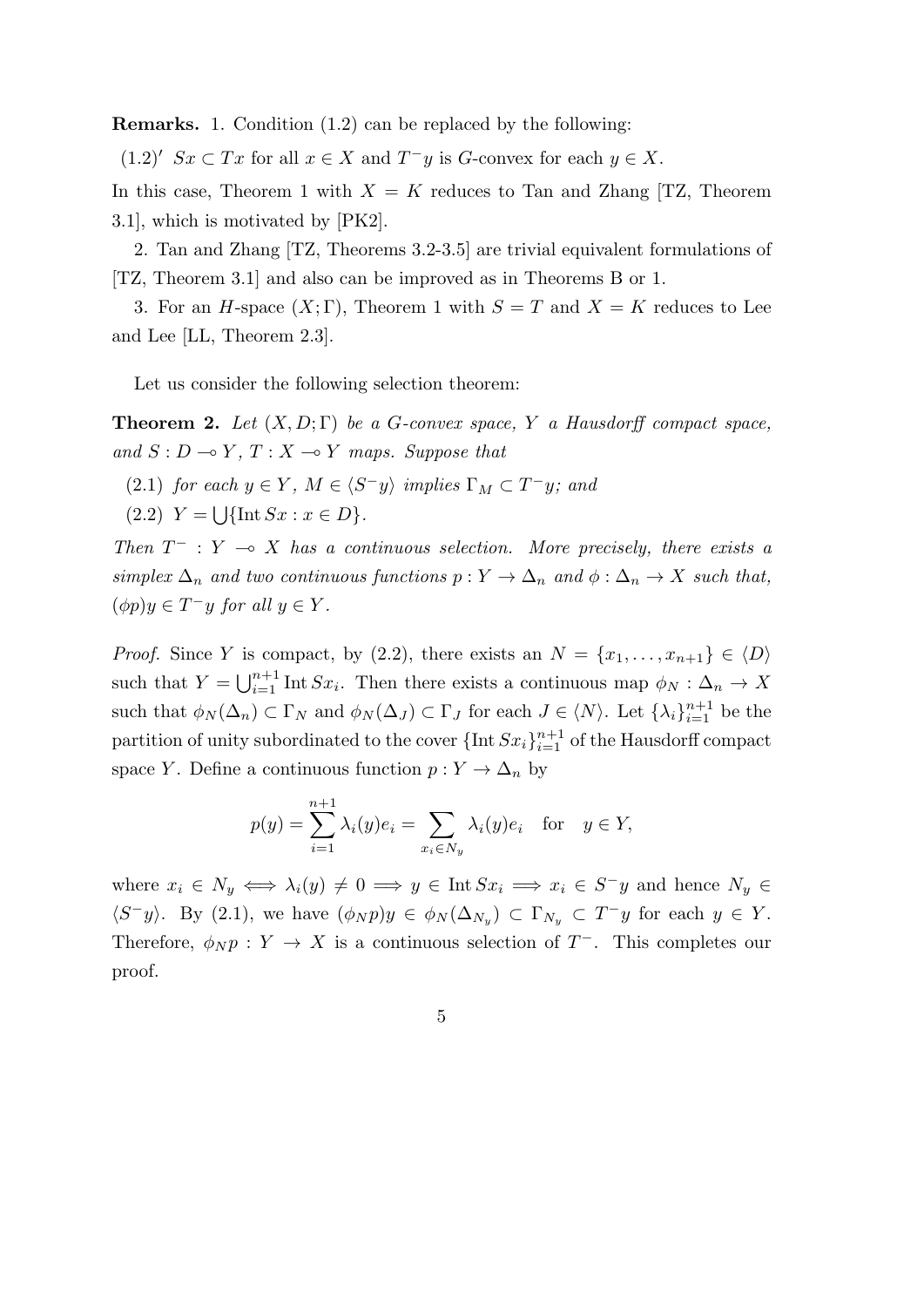**Remarks.** 1. Condition (1.2) can be replaced by the following:

 $(1.2)'$  *Sx*  $\subset Tx$  for all  $x \in X$  and  $T^-y$  is *G*-convex for each  $y \in X$ .

In this case, Theorem 1 with  $X = K$  reduces to Tan and Zhang [TZ, Theorem 3.1], which is motivated by [PK2].

2. Tan and Zhang [TZ, Theorems 3.2-3.5] are trivial equivalent formulations of [TZ, Theorem 3.1] and also can be improved as in Theorems B or 1.

3. For an *H*-space  $(X; \Gamma)$ , Theorem 1 with  $S = T$  and  $X = K$  reduces to Lee and Lee [LL, Theorem 2.3].

Let us consider the following selection theorem:

**Theorem 2.** Let  $(X, D; \Gamma)$  be a *G*-convex space, *Y* a Hausdorff compact space, *and*  $S: D \to Y, T: X \to Y$  *maps. Suppose that* 

- (2.1) *for each*  $y \in Y$ *,*  $M \in \langle S^-y \rangle$  *implies*  $\Gamma_M \subset T^-y$ *; and*
- $(2.2)$   $Y = \bigcup \{ \text{Int } Sx : x \in D \}.$

*Then*  $T^-$  :  $Y \to X$  *has a continuous selection. More precisely, there exists a*  $simpler \Delta_n$  *and two continuous functions*  $p: Y \to \Delta_n$  *and*  $\phi: \Delta_n \to X$  *such that,*  $(\phi p)y \in T^- y$  *for all*  $y \in Y$ *.* 

*Proof.* Since *Y* is compact, by (2.2), there exists an  $N = \{x_1, \ldots, x_{n+1}\} \in \langle D \rangle$ such that  $Y = \bigcup_{i=1}^{n+1} \text{Int } Sx_i$ . Then there exists a continuous map  $\phi_N : \Delta_n \to X$ such that  $\phi_N(\Delta_n) \subset \Gamma_N$  and  $\phi_N(\Delta_j) \subset \Gamma_j$  for each  $J \in \langle N \rangle$ . Let  $\{\lambda_i\}_{i=1}^{n+1}$  be the partition of unity subordinated to the cover  ${\{\text{Int\,}S_x\}}_{i=1}^{n+1}$  of the Hausdorff compact space *Y*. Define a continuous function  $p: Y \to \Delta_n$  by

$$
p(y) = \sum_{i=1}^{n+1} \lambda_i(y)e_i = \sum_{x_i \in N_y} \lambda_i(y)e_i \quad \text{for} \quad y \in Y,
$$

where  $x_i \in N_y \iff \lambda_i(y) \neq 0 \implies y \in \text{Int } Sx_i \implies x_i \in S^-y$  and hence  $N_y \in S^-y$  $\langle S^-y \rangle$ . By (2.1), we have  $(\phi_N p)y \in \phi_N(\Delta_{N_y}) \subset \Gamma_{N_y} \subset T^-y$  for each  $y \in Y$ . Therefore,  $\phi_N p : Y \to X$  is a continuous selection of  $T^-$ . This completes our proof.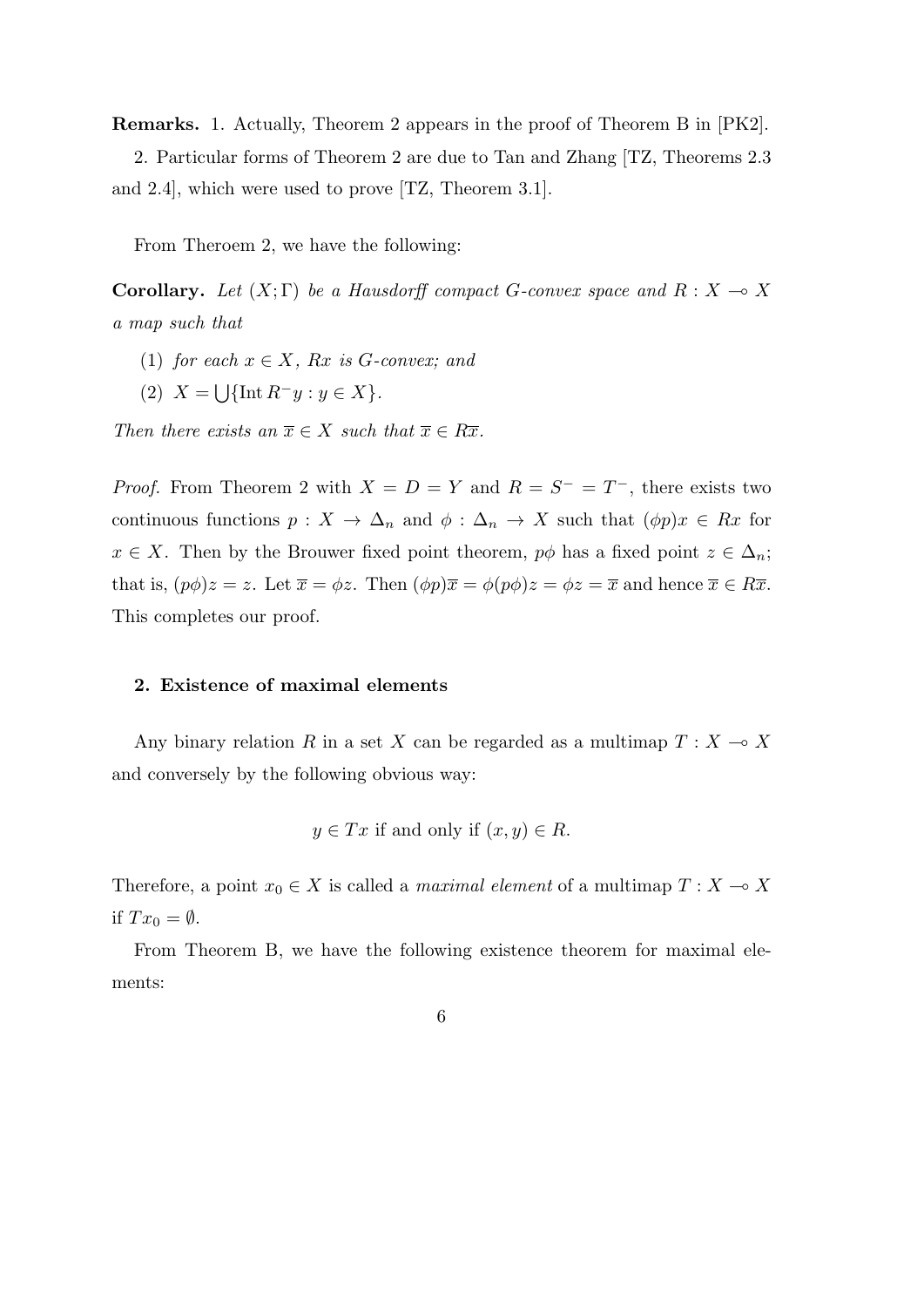**Remarks.** 1. Actually, Theorem 2 appears in the proof of Theorem B in [PK2].

2. Particular forms of Theorem 2 are due to Tan and Zhang [TZ, Theorems 2.3 and 2.4], which were used to prove [TZ, Theorem 3.1].

From Theroem 2, we have the following:

**Corollary.** Let  $(X;\Gamma)$  be a Hausdorff compact *G*-convex space and  $R: X \to X$ *a map such that*

- (1) *for each*  $x \in X$ *, Rx is G-convex; and*
- $(X = \bigcup \{ \text{Int } R^{-}y : y \in X \}.$

*Then there exists an*  $\overline{x} \in X$  *such that*  $\overline{x} \in R\overline{x}$ *.* 

*Proof.* From Theorem 2 with  $X = D = Y$  and  $R = S^- = T^-$ , there exists two continuous functions  $p: X \to \Delta_n$  and  $\phi: \Delta_n \to X$  such that  $(\phi p)x \in Rx$  for  $x \in X$ . Then by the Brouwer fixed point theorem,  $p\phi$  has a fixed point  $z \in \Delta_n$ ; that is,  $(p\phi)z = z$ . Let  $\overline{x} = \phi z$ . Then  $(\phi p)\overline{x} = \phi (p\phi)z = \phi z = \overline{x}$  and hence  $\overline{x} \in R\overline{x}$ . This completes our proof.

#### **2. Existence of maximal elements**

Any binary relation *R* in a set *X* can be regarded as a multimap  $T : X \to X$ and conversely by the following obvious way:

$$
y \in Tx
$$
 if and only if  $(x, y) \in R$ .

Therefore, a point  $x_0 \in X$  is called a *maximal element* of a multimap  $T: X \to X$ if  $Tx_0 = \emptyset$ .

From Theorem B, we have the following existence theorem for maximal elements: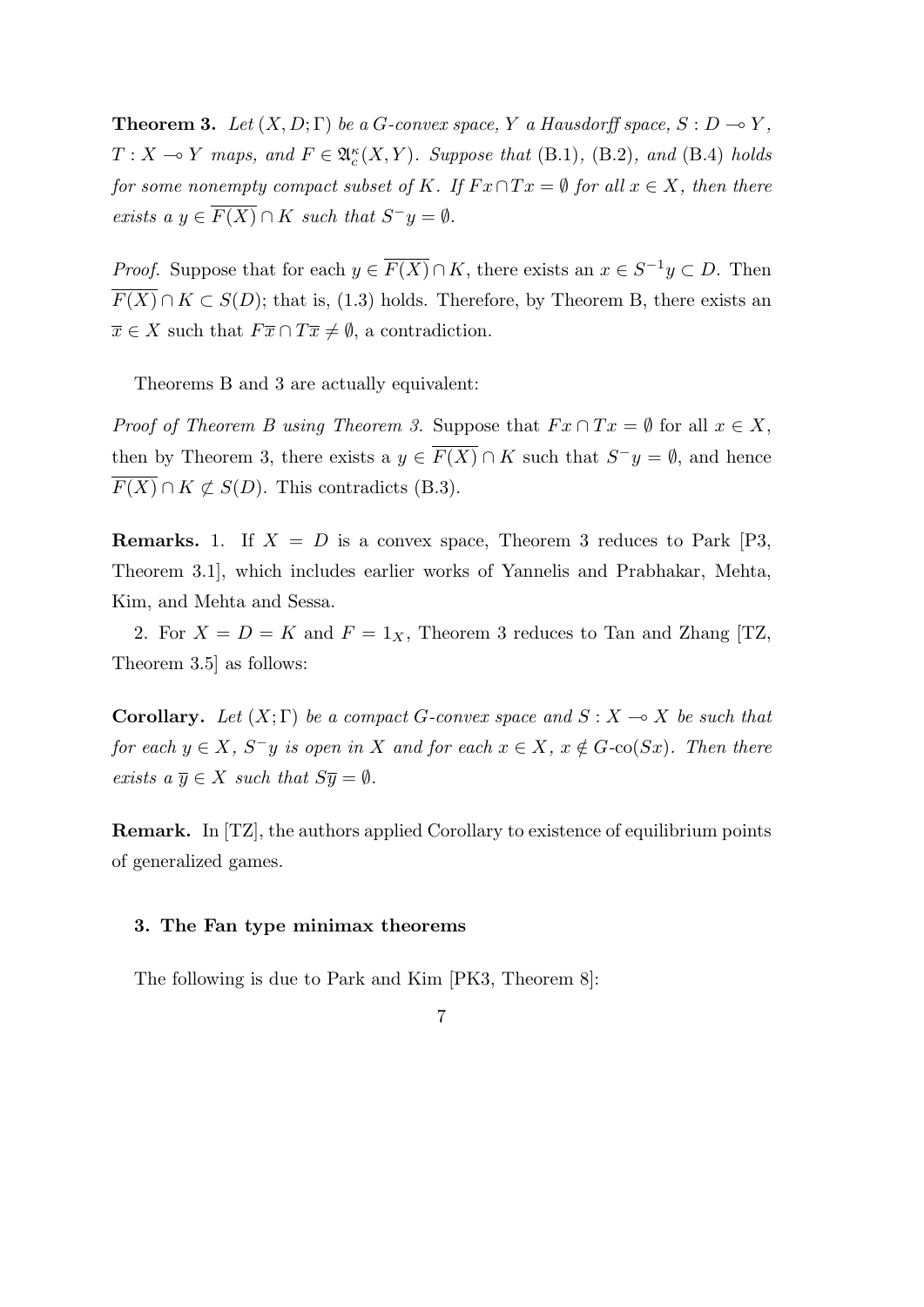**Theorem 3.** Let  $(X, D; \Gamma)$  be a *G*-convex space, *Y* a Hausdorff space,  $S: D \to Y$ ,  $T: X \to Y$  *maps, and*  $F \in \mathfrak{A}_c^{\kappa}(X, Y)$ *. Suppose that* (B.1)*,* (B.2)*, and* (B.4) *holds for some nonempty compact subset of*  $K$ *. If*  $Fx \cap Tx = \emptyset$  *for all*  $x \in X$ *, then there exists a*  $y \in \overline{F(X)} \cap K$  *such that*  $S^-y = \emptyset$ *.* 

*Proof.* Suppose that for each  $y \in \overline{F(X)} \cap K$ , there exists an  $x \in S^{-1}y \subset D$ . Then  $F(X) \cap K \subset S(D)$ ; that is, (1.3) holds. Therefore, by Theorem B, there exists an  $\overline{x} \in X$  such that  $F\overline{x} \cap T\overline{x} \neq \emptyset$ , a contradiction.

Theorems B and 3 are actually equivalent:

*Proof of Theorem B using Theorem 3.* Suppose that  $Fx \cap Tx = \emptyset$  for all  $x \in X$ , then by Theorem 3, there exists a  $y \in \overline{F(X)} \cap K$  such that  $S^{-}y = \emptyset$ , and hence  $\overline{F(X)} \cap K \not\subset S(D)$ . This contradicts (B.3).

**Remarks.** 1. If  $X = D$  is a convex space, Theorem 3 reduces to Park [P3, Theorem 3.1], which includes earlier works of Yannelis and Prabhakar, Mehta, Kim, and Mehta and Sessa.

2. For  $X = D = K$  and  $F = 1_X$ , Theorem 3 reduces to Tan and Zhang [TZ, Theorem 3.5] as follows:

**Corollary.** Let  $(X;\Gamma)$  be a compact *G*-convex space and  $S: X \to X$  be such that for each  $y \in X$ ,  $S^{-}y$  is open in X and for each  $x \in X$ ,  $x \notin G$ -co $(Sx)$ . Then there *exists*  $a \overline{y} \in X$  *such that*  $S\overline{y} = \emptyset$ *.* 

**Remark.** In [TZ], the authors applied Corollary to existence of equilibrium points of generalized games.

## **3. The Fan type minimax theorems**

The following is due to Park and Kim [PK3, Theorem 8]: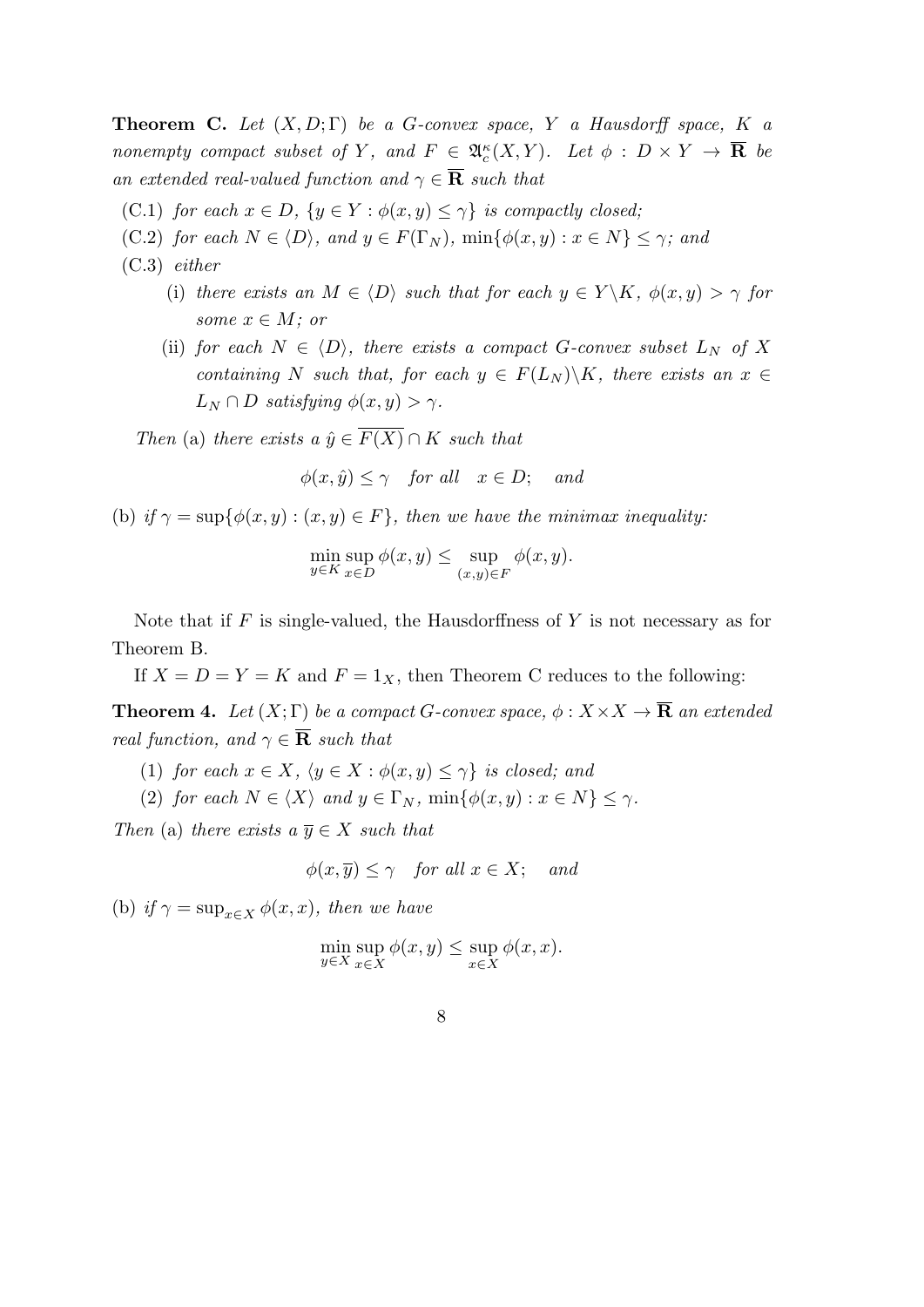**Theorem C.** *Let* (*X, D*; Γ) *be a G-convex space, Y a Hausdorff space, K a nonempty compact subset of Y*, and  $F \in \mathfrak{A}_c^{\kappa}(X, Y)$ *. Let*  $\phi : D \times Y \to \mathbf{R}$  be *an extended real-valued function and*  $\gamma \in \overline{\mathbf{R}}$  *such that* 

- (C.1) *for each*  $x \in D$ ,  $\{y \in Y : \phi(x, y) \leq \gamma\}$  *is compactly closed;*
- (C.2) *for each*  $N \in \langle D \rangle$ *, and*  $y \in F(\Gamma_N)$ *,*  $\min\{\phi(x,y) : x \in N\} \leq \gamma$ *; and*
- (C.3) *either*
	- (i) *there exists an*  $M \in \langle D \rangle$  *such that for each*  $y \in Y \backslash K$ ,  $\phi(x, y) > \gamma$  *for some*  $x \in M$ *; or*
	- (ii) *for each*  $N \in \langle D \rangle$ *, there exists a compact G*-convex subset  $L_N$  *of* X *containing N such that, for each*  $y \in F(L_N) \backslash K$ *, there exists an*  $x \in$  $L_N \cap D$  *satisfying*  $\phi(x, y) > \gamma$ *.*

*Then* (a) *there exists a*  $\hat{y} \in \overline{F(X)} \cap K$  *such that* 

$$
\phi(x,\hat{y}) \le \gamma \quad \text{for all} \quad x \in D; \quad \text{and}
$$

(b) *if*  $\gamma = \sup\{\phi(x, y) : (x, y) \in F\}$ , then we have the minimax inequality:

$$
\min_{y \in K} \sup_{x \in D} \phi(x, y) \le \sup_{(x, y) \in F} \phi(x, y).
$$

Note that if *F* is single-valued, the Hausdorffness of *Y* is not necessary as for Theorem B.

If  $X = D = Y = K$  and  $F = 1_X$ , then Theorem C reduces to the following:

**Theorem 4.** *Let*  $(X; \Gamma)$  *be a compact G-convex space,*  $\phi : X \times X \to \overline{\mathbf{R}}$  *an extended real function, and*  $\gamma \in \overline{\mathbf{R}}$  *such that* 

- (1) *for each*  $x \in X$ *,*  $\langle y \in X : \phi(x, y) \leq \gamma \}$  *is closed; and*
- (2) *for each*  $N \in \langle X \rangle$  *and*  $y \in \Gamma_N$ ,  $\min\{\phi(x, y) : x \in N\} \leq \gamma$ .

*Then* (a) *there exists a*  $\overline{y} \in X$  *such that* 

$$
\phi(x,\overline{y}) \le \gamma \quad \text{for all } x \in X; \quad \text{and}
$$

(b) *if*  $\gamma = \sup_{x \in X} \phi(x, x)$ *, then we have* 

$$
\min_{y \in X} \sup_{x \in X} \phi(x, y) \le \sup_{x \in X} \phi(x, x).
$$

8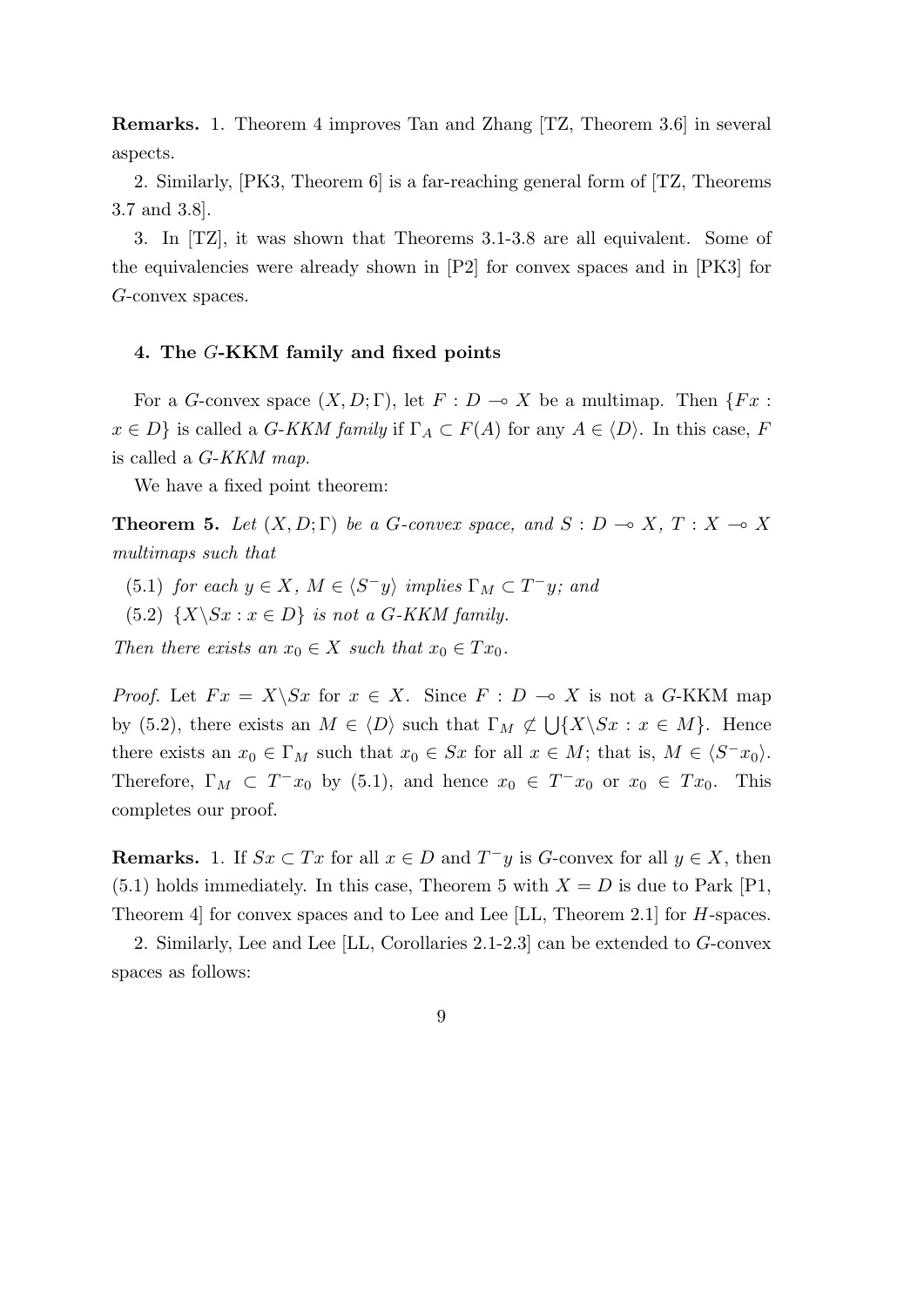**Remarks.** 1. Theorem 4 improves Tan and Zhang [TZ, Theorem 3.6] in several aspects.

2. Similarly, [PK3, Theorem 6] is a far-reaching general form of [TZ, Theorems 3.7 and 3.8].

3. In [TZ], it was shown that Theorems 3.1-3.8 are all equivalent. Some of the equivalencies were already shown in [P2] for convex spaces and in [PK3] for *G*-convex spaces.

## **4. The** *G***-KKM family and fixed points**

For a *G*-convex space  $(X, D; \Gamma)$ , let  $F: D \to X$  be a multimap. Then  $\{Fx:$  $x \in D$ *}* is called a *G*-*KKM family* if  $\Gamma_A \subset F(A)$  for any  $A \in \langle D \rangle$ . In this case, *F* is called a *G*-*KKM map*.

We have a fixed point theorem:

**Theorem 5.** Let  $(X, D; \Gamma)$  be a *G*-convex space, and  $S: D \to X, T: X \to X$ *multimaps such that*

(5.1) *for each*  $y \in X$ *,*  $M \in \langle S^-y \rangle$  *implies*  $\Gamma_M \subset T^-y$ *; and* 

(5.2)  $\{X \setminus Sx : x \in D\}$  *is not a G-KKM family.* 

*Then there exists an*  $x_0 \in X$  *such that*  $x_0 \in Tx_0$ .

*Proof.* Let  $Fx = X\$  Sx for  $x \in X$ . Since  $F : D \to X$  is not a *G*-KKM map by (5.2), there exists an  $M \in \langle D \rangle$  such that  $\Gamma_M \not\subset \bigcup \{X \setminus Sx : x \in M\}$ . Hence there exists an  $x_0 \in \Gamma_M$  such that  $x_0 \in Sx$  for all  $x \in M$ ; that is,  $M \in \langle S^- x_0 \rangle$ . Therefore,  $\Gamma_M \subset T^-x_0$  by (5.1), and hence  $x_0 \in T^-x_0$  or  $x_0 \in Tx_0$ . This completes our proof.

**Remarks.** 1. If  $Sx \subset Tx$  for all  $x \in D$  and  $T^-y$  is *G*-convex for all  $y \in X$ , then  $(5.1)$  holds immediately. In this case, Theorem 5 with  $X = D$  is due to Park [P1, Theorem 4] for convex spaces and to Lee and Lee [LL, Theorem 2.1] for *H*-spaces.

2. Similarly, Lee and Lee [LL, Corollaries 2.1-2.3] can be extended to *G*-convex spaces as follows: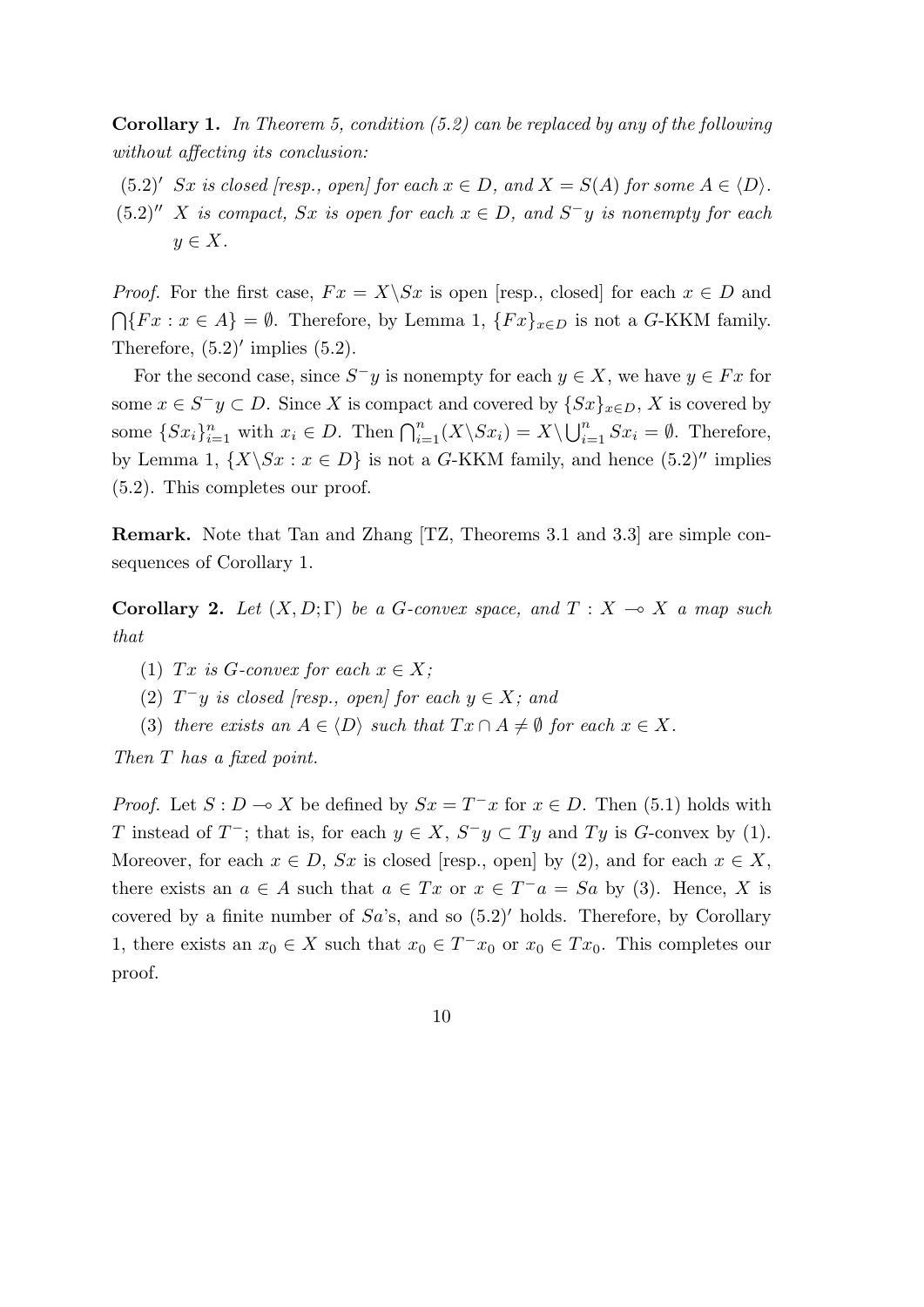**Corollary 1.** *In Theorem 5, condition (5.2) can be replaced by any of the following without affecting its conclusion:*

- $(5.2)'$  *Sx is closed [resp., open] for each*  $x \in D$ *, and*  $X = S(A)$  *for some*  $A \in \langle D \rangle$ *.*
- $(5.2)''$  *X* is compact, *Sx* is open for each  $x \in D$ , and  $S^-y$  is nonempty for each *y ∈ X.*

*Proof.* For the first case,  $Fx = X \setminus Sx$  is open [resp., closed] for each  $x \in D$  and  $\bigcap \{Fx : x \in A\} = ∅$ . Therefore, by Lemma 1,  $\{Fx\}_{x \in D}$  is not a *G*-KKM family. Therefore,  $(5.2)'$  implies  $(5.2)$ .

For the second case, since  $S^-y$  is nonempty for each  $y \in X$ , we have  $y \in Fx$  for some  $x \in S^ y \subset D$ . Since *X* is compact and covered by  $\{Sx\}_{x \in D}$ , *X* is covered by some  $\{Sx_i\}_{i=1}^n$  with  $x_i \in D$ . Then  $\bigcap_{i=1}^n (X \backslash Sx_i) = X \backslash \bigcup_{i=1}^n Sx_i = \emptyset$ . Therefore, by Lemma 1,  $\{X \setminus Sx : x \in D\}$  is not a *G*-KKM family, and hence  $(5.2)$ <sup>*''*</sup> implies (5.2). This completes our proof.

**Remark.** Note that Tan and Zhang [TZ, Theorems 3.1 and 3.3] are simple consequences of Corollary 1.

**Corollary 2.** Let  $(X, D; \Gamma)$  be a *G*-convex space, and  $T: X \to X$  a map such *that*

- (1) *Tx* is *G*-convex for each  $x \in X$ ;
- (2)  $T^-y$  *is closed [resp., open] for each*  $y \in X$ *; and*
- (3) *there exists an*  $A \in \langle D \rangle$  *such that*  $Tx \cap A \neq \emptyset$  *for each*  $x \in X$ *.*

*Then T has a fixed point.*

*Proof.* Let  $S: D \to X$  be defined by  $Sx = T^{-}x$  for  $x \in D$ . Then (5.1) holds with *T* instead of *T*<sup>−</sup>; that is, for each  $y \in X$ ,  $S^-y \subset Ty$  and  $Ty$  is *G*-convex by (1). Moreover, for each  $x \in D$ ,  $Sx$  is closed [resp., open] by (2), and for each  $x \in X$ , there exists an  $a \in A$  such that  $a \in Tx$  or  $x \in T^-a = Sa$  by (3). Hence, *X* is covered by a finite number of *Sa*'s, and so (5.2)*′* holds. Therefore, by Corollary 1, there exists an  $x_0 \in X$  such that  $x_0 \in T^- x_0$  or  $x_0 \in Tx_0$ . This completes our proof.

$$
10\quad
$$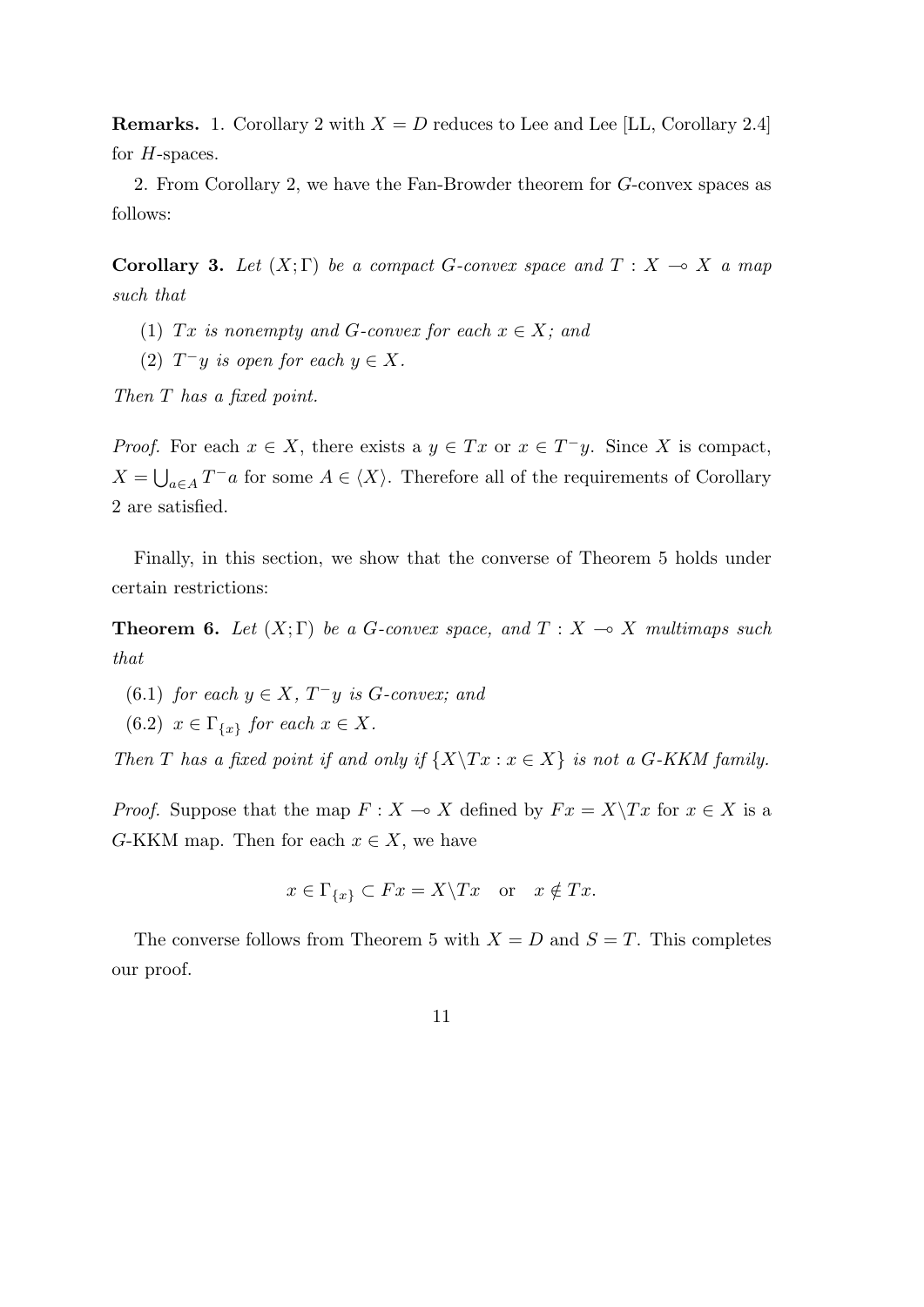**Remarks.** 1. Corollary 2 with  $X = D$  reduces to Lee and Lee [LL, Corollary 2.4] for *H*-spaces.

2. From Corollary 2, we have the Fan-Browder theorem for *G*-convex spaces as follows:

**Corollary 3.** Let  $(X;\Gamma)$  be a compact *G*-convex space and  $T: X \to X$  a map *such that*

- (1) *Tx is nonempty and G-convex for each*  $x \in X$ ; and
- (2)  $T^-y$  *is open for each*  $y \in X$ *.*

*Then T has a fixed point.*

*Proof.* For each  $x \in X$ , there exists a  $y \in Tx$  or  $x \in T^{-}y$ . Since X is compact,  $X = \bigcup_{a \in A} T^-a$  for some  $A \in \langle X \rangle$ . Therefore all of the requirements of Corollary 2 are satisfied.

Finally, in this section, we show that the converse of Theorem 5 holds under certain restrictions:

**Theorem 6.** Let  $(X;\Gamma)$  be a *G*-convex space, and  $T: X \rightarrow X$  multimaps such *that*

- (6.1) *for each*  $y \in X$ ,  $T^-y$  *is G*-convex; and
- $(6.2)$   $x \in \Gamma_{\{x\}}$  for each  $x \in X$ .

*Then T* has a fixed point if and only if  $\{X \mid Tx : x \in X\}$  is not a *G*-KKM family.

*Proof.* Suppose that the map  $F: X \to X$  defined by  $Fx = X \setminus Tx$  for  $x \in X$  is a *G*-KKM map. Then for each  $x \in X$ , we have

$$
x \in \Gamma_{\{x\}} \subset Fx = X \backslash Tx \quad \text{or} \quad x \notin Tx.
$$

The converse follows from Theorem 5 with  $X = D$  and  $S = T$ . This completes our proof.

11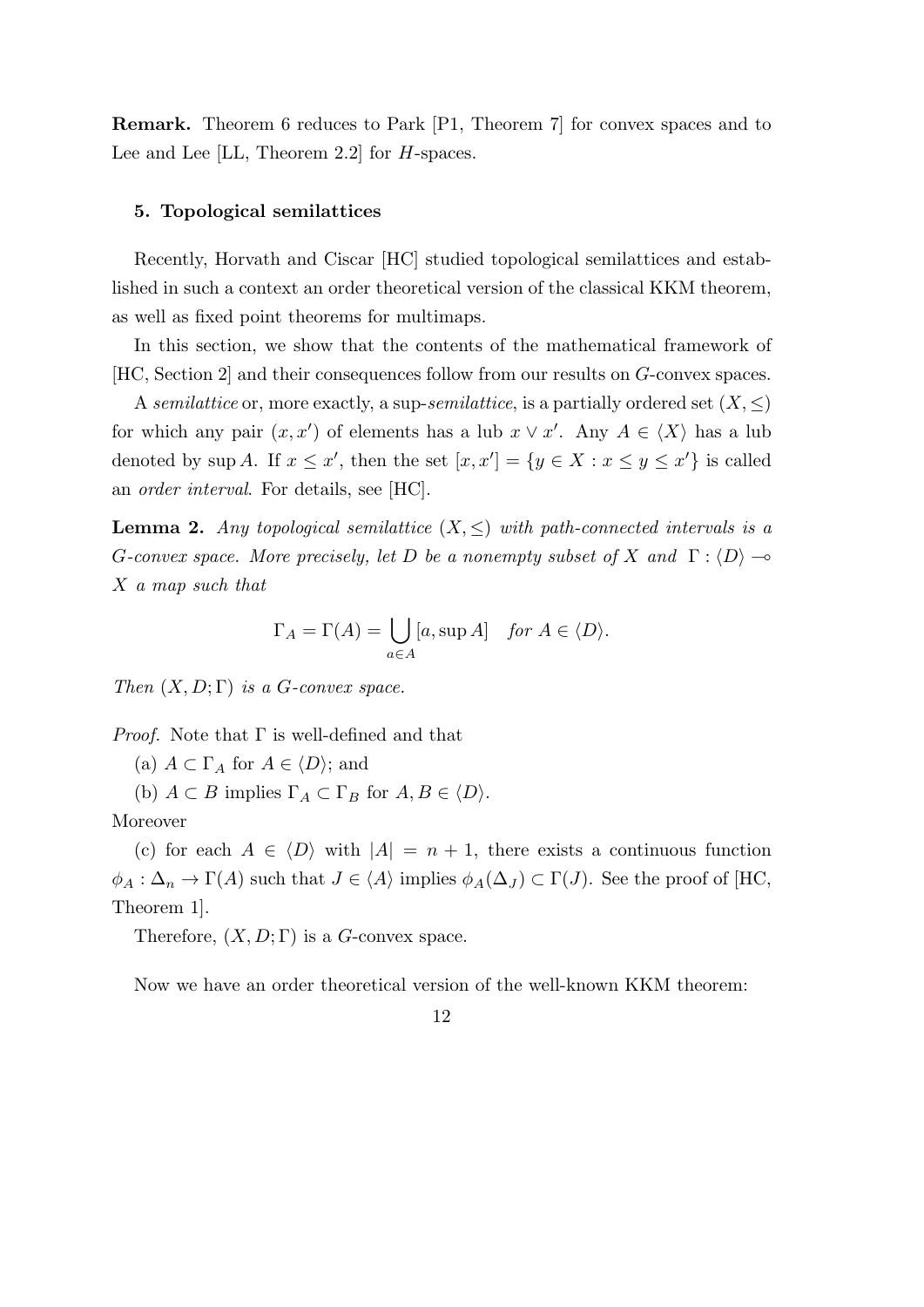**Remark.** Theorem 6 reduces to Park [P1, Theorem 7] for convex spaces and to Lee and Lee [LL, Theorem 2.2] for *H*-spaces.

### **5. Topological semilattices**

Recently, Horvath and Ciscar [HC] studied topological semilattices and established in such a context an order theoretical version of the classical KKM theorem, as well as fixed point theorems for multimaps.

In this section, we show that the contents of the mathematical framework of [HC, Section 2] and their consequences follow from our results on *G*-convex spaces.

A *semilattice* or, more exactly, a sup-*semilattice*, is a partially ordered set  $(X, \leq)$ for which any pair  $(x, x')$  of elements has a lub  $x \vee x'$ . Any  $A \in \langle X \rangle$  has a lub denoted by sup *A*. If  $x \leq x'$ , then the set  $[x, x'] = \{y \in X : x \leq y \leq x'\}$  is called an *order interval*. For details, see [HC].

**Lemma 2.** *Any topological semilattice*  $(X, \leq)$  *with path-connected intervals is a G*-convex space. More precisely, let D be a nonempty subset of X and  $\Gamma$ :  $\langle D \rangle$   $\rightarrow$ *X a map such that*

$$
\Gamma_A = \Gamma(A) = \bigcup_{a \in A} [a, \sup A] \quad \text{for } A \in \langle D \rangle.
$$

*Then*  $(X, D; \Gamma)$  *is a G-convex space.* 

*Proof.* Note that Γ is well-defined and that

(a)  $A \subset \Gamma_A$  for  $A \in \langle D \rangle$ ; and

(b)  $A \subset B$  implies  $\Gamma_A \subset \Gamma_B$  for  $A, B \in \langle D \rangle$ .

Moreover

(c) for each  $A \in \langle D \rangle$  with  $|A| = n + 1$ , there exists a continuous function  $\phi_A : \Delta_n \to \Gamma(A)$  such that  $J \in \langle A \rangle$  implies  $\phi_A(\Delta_J) \subset \Gamma(J)$ . See the proof of [HC, Theorem 1].

Therefore,  $(X, D; \Gamma)$  is a *G*-convex space.

Now we have an order theoretical version of the well-known KKM theorem:

12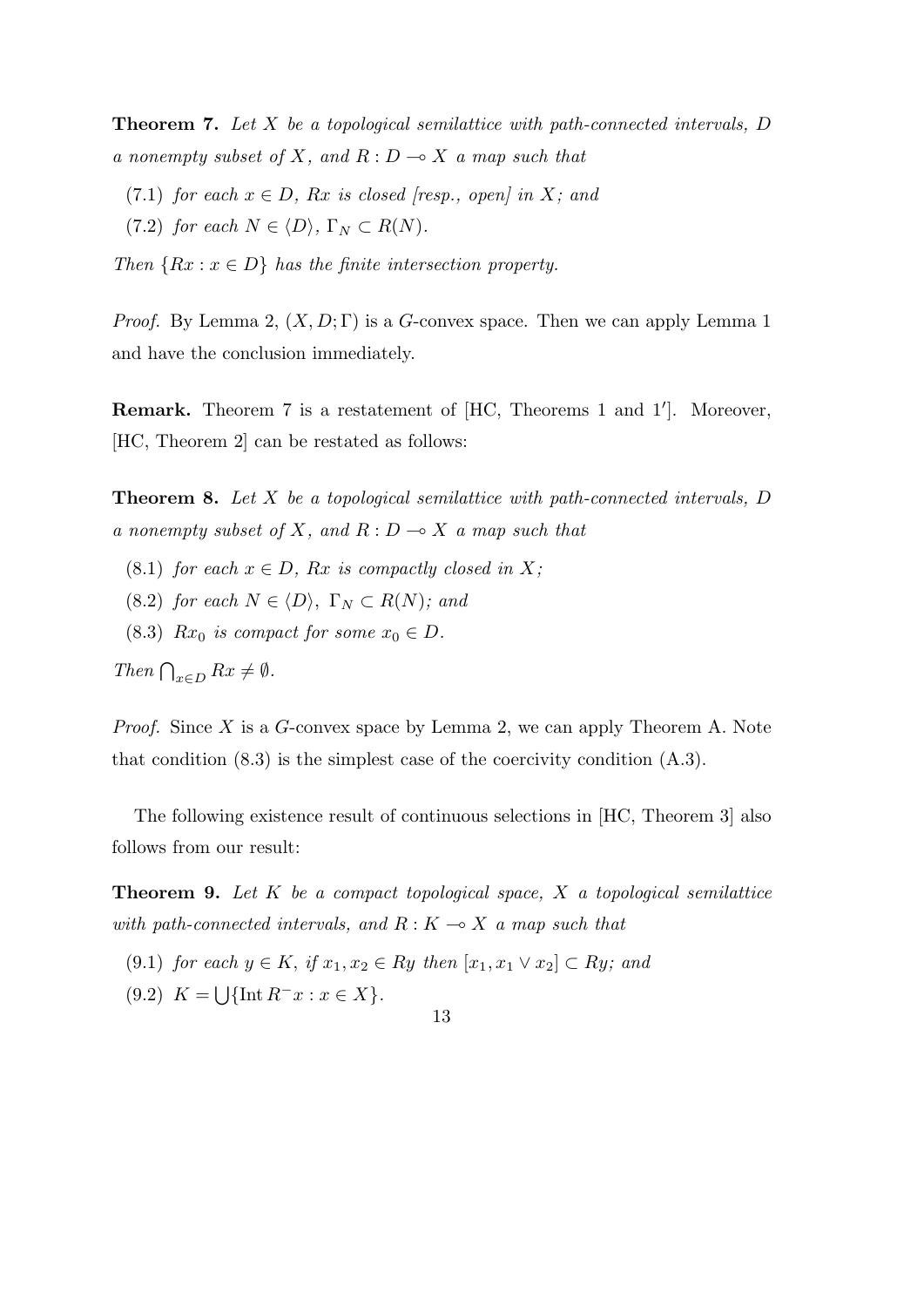**Theorem 7.** *Let X be a topological semilattice with path-connected intervals, D a nonempty subset of*  $X$ *, and*  $R: D \to X$  *a map such that* 

- (7.1) *for each*  $x \in D$ *, Rx is closed [resp., open] in X; and*
- $(7.2)$  *for each*  $N \in \langle D \rangle$ ,  $\Gamma_N \subset R(N)$ .

*Then*  ${Rx : x \in D}$  *has the finite intersection property.* 

*Proof.* By Lemma 2, (*X, D*; Γ) is a *G*-convex space. Then we can apply Lemma 1 and have the conclusion immediately.

**Remark.** Theorem 7 is a restatement of [HC, Theorems 1 and 1*′* ]. Moreover, [HC, Theorem 2] can be restated as follows:

**Theorem 8.** *Let X be a topological semilattice with path-connected intervals, D a nonempty subset of*  $X$ *, and*  $R: D \to X$  *a map such that* 

- (8.1) *for each*  $x \in D$ *, Rx is compactly closed in X;*
- $(8.2)$  *for each*  $N \in \langle D \rangle$ ,  $\Gamma_N \subset R(N)$ *; and*
- (8.3)  $Rx_0$  *is compact for some*  $x_0 \in D$ *.*

*Then*  $\bigcap_{x \in D} Rx \neq \emptyset$ *.* 

*Proof.* Since *X* is a *G*-convex space by Lemma 2, we can apply Theorem A. Note that condition  $(8.3)$  is the simplest case of the coercivity condition  $(A.3)$ .

The following existence result of continuous selections in [HC, Theorem 3] also follows from our result:

**Theorem 9.** *Let K be a compact topological space, X a topological semilattice with path-connected intervals, and*  $R: K \rightarrow X$  *a map such that* 

 $(9.1)$  *for each*  $y \in K$ , *if*  $x_1, x_2 \in Ry$  *then*  $[x_1, x_1 \vee x_2] \subset Ry$ *; and*  $(9.2)$   $K = \bigcup \{ \text{Int } R^{-}x : x \in X \}.$ 

<sup>13</sup>